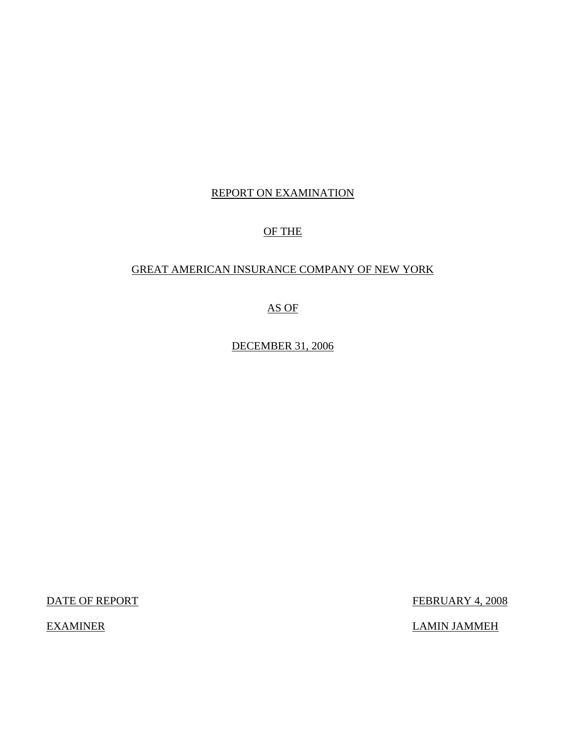## REPORT ON EXAMINATION

## OF THE

## GREAT AMERICAN INSURANCE COMPANY OF NEW YORK

## AS OF

DECEMBER 31, 2006

DATE OF REPORT FEBRUARY 4, 2008

EXAMINER LAMIN JAMMEH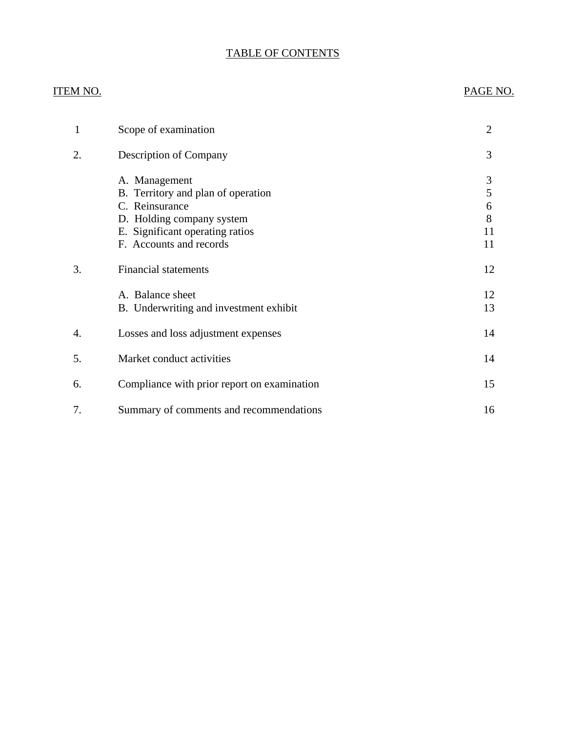# TABLE OF CONTENTS

## ITEM NO. PAGE NO.

| 1  | Scope of examination                                                                                                                                             | 2                            |
|----|------------------------------------------------------------------------------------------------------------------------------------------------------------------|------------------------------|
| 2. | <b>Description of Company</b>                                                                                                                                    | 3                            |
|    | A. Management<br>B. Territory and plan of operation<br>C. Reinsurance<br>D. Holding company system<br>E. Significant operating ratios<br>F. Accounts and records | 3<br>5<br>6<br>8<br>11<br>11 |
| 3. | <b>Financial statements</b>                                                                                                                                      | 12                           |
|    | A. Balance sheet<br>B. Underwriting and investment exhibit                                                                                                       | 12<br>13                     |
| 4. | Losses and loss adjustment expenses                                                                                                                              | 14                           |
| 5. | Market conduct activities                                                                                                                                        | 14                           |
| 6. | Compliance with prior report on examination                                                                                                                      | 15                           |
| 7. | Summary of comments and recommendations                                                                                                                          | 16                           |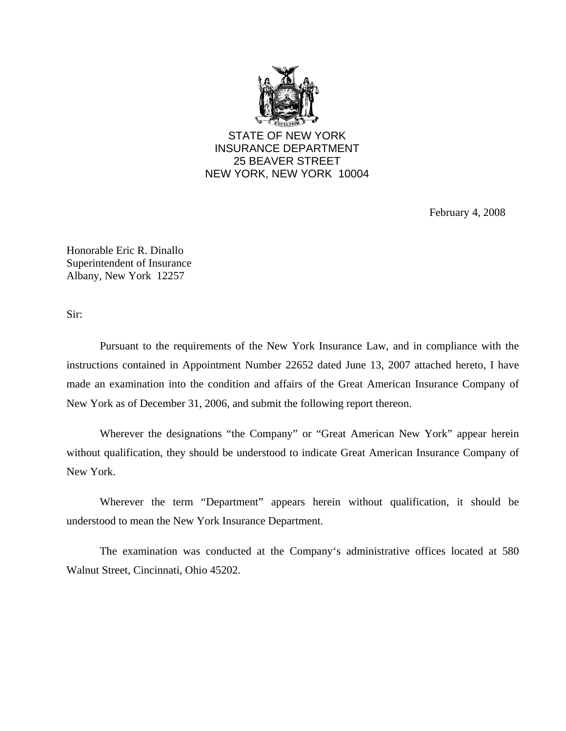

STATE OF NEW YORK INSURANCE DEPARTMENT 25 BEAVER STREET NEW YORK, NEW YORK 10004

February 4, 2008

Honorable Eric R. Dinallo Superintendent of Insurance Albany, New York 12257

Sir:

Pursuant to the requirements of the New York Insurance Law, and in compliance with the instructions contained in Appointment Number 22652 dated June 13, 2007 attached hereto, I have made an examination into the condition and affairs of the Great American Insurance Company of New York as of December 31, 2006, and submit the following report thereon.

Wherever the designations "the Company" or "Great American New York" appear herein without qualification, they should be understood to indicate Great American Insurance Company of New York.

Wherever the term "Department" appears herein without qualification, it should be understood to mean the New York Insurance Department.

The examination was conducted at the Company's administrative offices located at 580 Walnut Street, Cincinnati, Ohio 45202.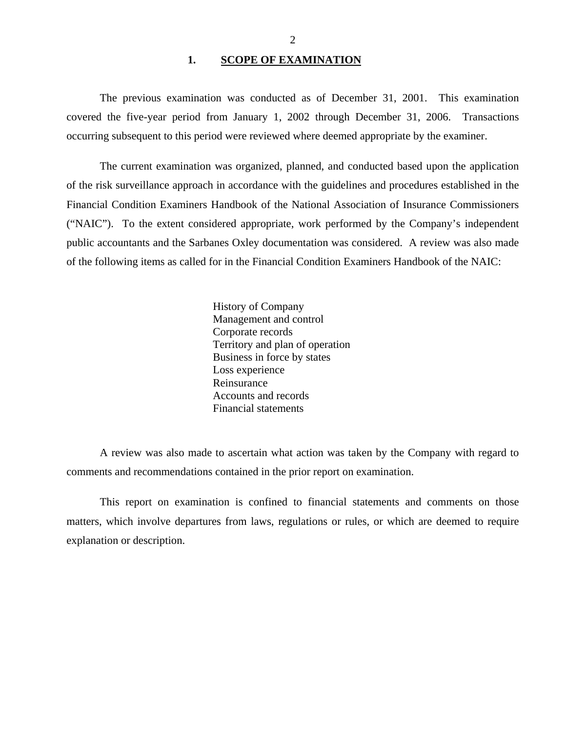### 1. **SCOPE OF EXAMINATION**

<span id="page-3-0"></span>The previous examination was conducted as of December 31, 2001. This examination covered the five-year period from January 1, 2002 through December 31, 2006. Transactions occurring subsequent to this period were reviewed where deemed appropriate by the examiner.

The current examination was organized, planned, and conducted based upon the application of the risk surveillance approach in accordance with the guidelines and procedures established in the Financial Condition Examiners Handbook of the National Association of Insurance Commissioners ("NAIC"). To the extent considered appropriate, work performed by the Company's independent public accountants and the Sarbanes Oxley documentation was considered. A review was also made of the following items as called for in the Financial Condition Examiners Handbook of the NAIC:

> History of Company Management and control Corporate records Territory and plan of operation Business in force by states Loss experience Reinsurance Accounts and records Financial statements

A review was also made to ascertain what action was taken by the Company with regard to comments and recommendations contained in the prior report on examination.

This report on examination is confined to financial statements and comments on those matters, which involve departures from laws, regulations or rules, or which are deemed to require explanation or description.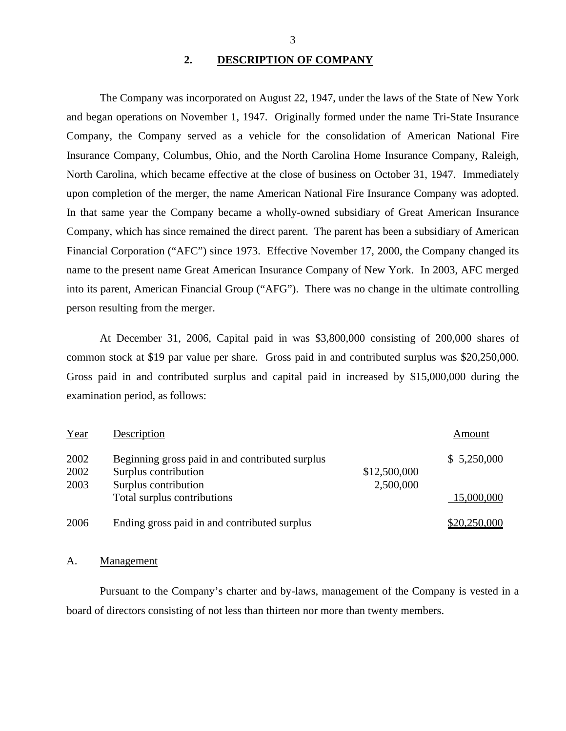## **2. DESCRIPTION OF COMPANY**

The Company was incorporated on August 22, 1947, under the laws of the State of New York and began operations on November 1, 1947. Originally formed under the name Tri-State Insurance Company, the Company served as a vehicle for the consolidation of American National Fire Insurance Company, Columbus, Ohio, and the North Carolina Home Insurance Company, Raleigh, North Carolina, which became effective at the close of business on October 31, 1947. Immediately upon completion of the merger, the name American National Fire Insurance Company was adopted. In that same year the Company became a wholly-owned subsidiary of Great American Insurance Company, which has since remained the direct parent. The parent has been a subsidiary of American Financial Corporation ("AFC") since 1973. Effective November 17, 2000, the Company changed its name to the present name Great American Insurance Company of New York. In 2003, AFC merged into its parent, American Financial Group ("AFG"). There was no change in the ultimate controlling person resulting from the merger.

At December 31, 2006, Capital paid in was \$3,800,000 consisting of 200,000 shares of common stock at \$19 par value per share. Gross paid in and contributed surplus was \$20,250,000. Gross paid in and contributed surplus and capital paid in increased by \$15,000,000 during the examination period, as follows:

| Year | Description                                     |              | Amount       |
|------|-------------------------------------------------|--------------|--------------|
| 2002 | Beginning gross paid in and contributed surplus |              | \$5,250,000  |
| 2002 | Surplus contribution                            | \$12,500,000 |              |
| 2003 | Surplus contribution                            | 2,500,000    |              |
|      | Total surplus contributions                     |              | 15,000,000   |
| 2006 | Ending gross paid in and contributed surplus    |              | \$20,250,000 |

### A. Management

Pursuant to the Company's charter and by-laws, management of the Company is vested in a board of directors consisting of not less than thirteen nor more than twenty members.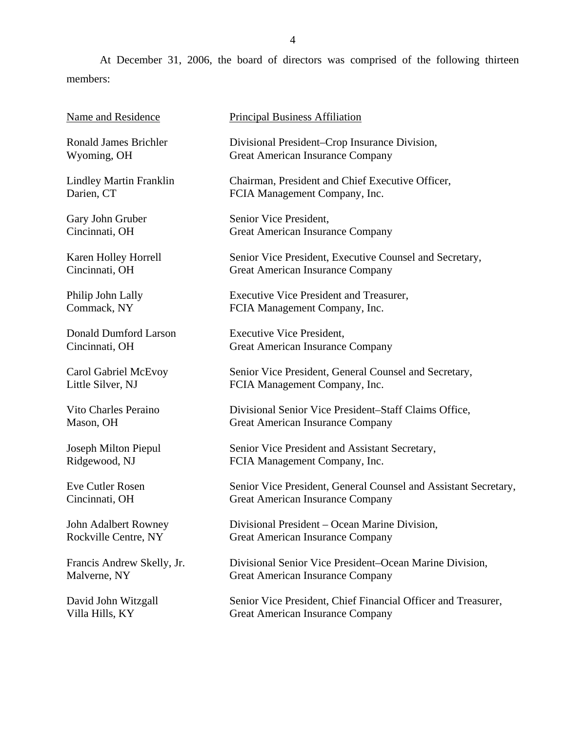At December 31, 2006, the board of directors was comprised of the following thirteen members:

| Name and Residence      | Prir |
|-------------------------|------|
| Ronald James Brichler   | Div  |
| Wyoming, OH             | Gre  |
| Lindley Martin Franklin | Ch   |
| Darien, CT              | FC1  |
| Gary John Gruber        |      |

Karen Holley Horrell Cincinnati, OH

Philip John Lally Commack, NY

Cincinnati, OH

Donald Dumford Larson Cincinnati, OH

Carol Gabriel McEvoy Little Silver, NJ

Vito Charles Peraino Mason, OH

Joseph Milton Piepul Ridgewood, NJ

Eve Cutler Rosen Cincinnati, OH

John Adalbert Rowney Rockville Centre, NY

Francis Andrew Skelly, Jr. Malverne, NY

David John Witzgall Villa Hills, KY

ncipal Business Affiliation

isional President–Crop Insurance Division, eat American Insurance Company

airman, President and Chief Executive Officer, IA Management Company, Inc.

nior Vice President, Great American Insurance Company

Senior Vice President, Executive Counsel and Secretary, Great American Insurance Company

Executive Vice President and Treasurer, FCIA Management Company, Inc.

Executive Vice President, Great American Insurance Company

Senior Vice President, General Counsel and Secretary, FCIA Management Company, Inc.

Divisional Senior Vice President–Staff Claims Office, Great American Insurance Company

Senior Vice President and Assistant Secretary, FCIA Management Company, Inc.

Senior Vice President, General Counsel and Assistant Secretary, Great American Insurance Company

Divisional President – Ocean Marine Division, Great American Insurance Company

Divisional Senior Vice President–Ocean Marine Division, Great American Insurance Company

Senior Vice President, Chief Financial Officer and Treasurer, Great American Insurance Company

4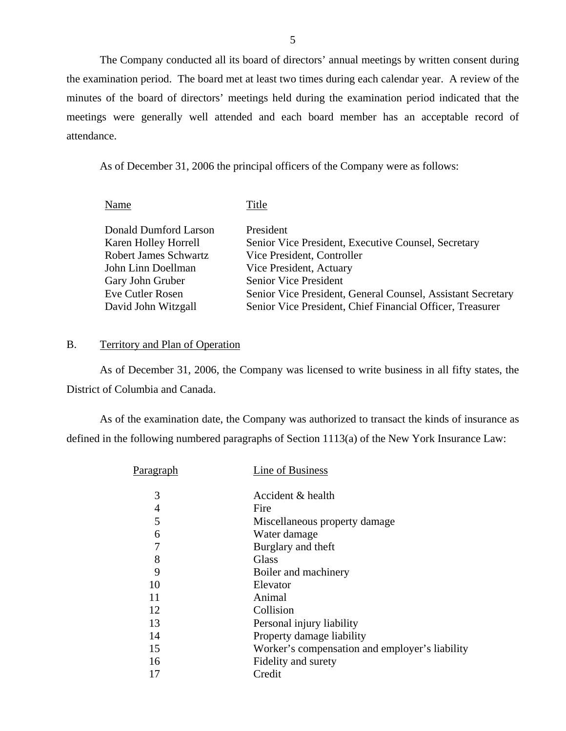The Company conducted all its board of directors' annual meetings by written consent during the examination period. The board met at least two times during each calendar year. A review of the minutes of the board of directors' meetings held during the examination period indicated that the meetings were generally well attended and each board member has an acceptable record of attendance.

As of December 31, 2006 the principal officers of the Company were as follows:

Name Title Donald Dumford Larson President Karen Holley Horrell Senior Vice President, Executive Counsel, Secretary Robert James Schwartz Vice President, Controller John Linn Doellman Vice President, Actuary Gary John Gruber Senior Vice President Eve Cutler Rosen Senior Vice President, General Counsel, Assistant Secretary David John Witzgall Senior Vice President, Chief Financial Officer, Treasurer

### B. Territory and Plan of Operation

As of December 31, 2006, the Company was licensed to write business in all fifty states, the District of Columbia and Canada.

As of the examination date, the Company was authorized to transact the kinds of insurance as defined in the following numbered paragraphs of Section 1113(a) of the New York Insurance Law:

| Paragr <u>aph</u> | Line of Business                               |
|-------------------|------------------------------------------------|
| 3                 | Accident & health                              |
| 4                 | Fire                                           |
| 5                 | Miscellaneous property damage                  |
| 6                 | Water damage                                   |
| 7                 | Burglary and theft                             |
| 8                 | Glass                                          |
| 9                 | Boiler and machinery                           |
| 10                | Elevator                                       |
| 11                | Animal                                         |
| 12                | Collision                                      |
| 13                | Personal injury liability                      |
| 14                | Property damage liability                      |
| 15                | Worker's compensation and employer's liability |
| 16                | Fidelity and surety                            |
| 17                | Credit                                         |
|                   |                                                |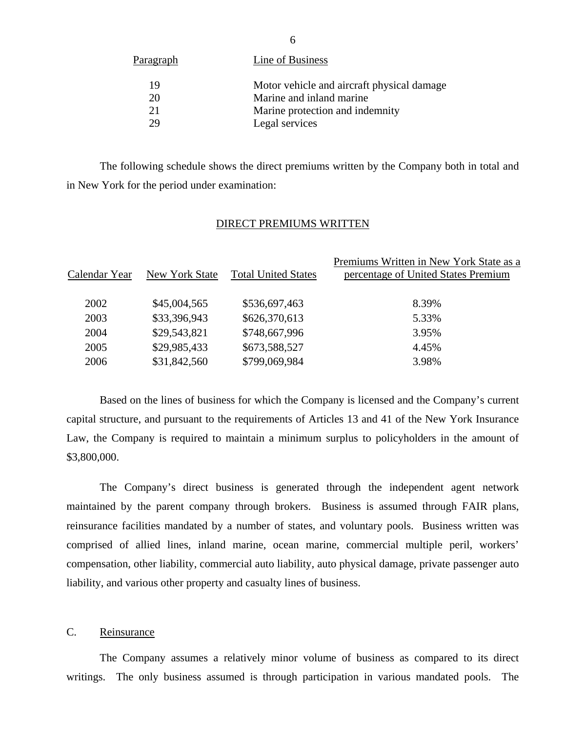| <u>Paragraph</u> | Line of Business                           |
|------------------|--------------------------------------------|
| 19               | Motor vehicle and aircraft physical damage |
| 20               | Marine and inland marine                   |
| 21               | Marine protection and indemnity            |
| 29               | Legal services                             |

The following schedule shows the direct premiums written by the Company both in total and in New York for the period under examination:

## DIRECT PREMIUMS WRITTEN

|               |                |                            | Premiums Written in New York State as a |
|---------------|----------------|----------------------------|-----------------------------------------|
| Calendar Year | New York State | <b>Total United States</b> | percentage of United States Premium     |
|               |                |                            |                                         |
| 2002          | \$45,004,565   | \$536,697,463              | 8.39%                                   |
| 2003          | \$33,396,943   | \$626,370,613              | 5.33%                                   |
| 2004          | \$29,543,821   | \$748,667,996              | 3.95%                                   |
| 2005          | \$29,985,433   | \$673,588,527              | 4.45%                                   |
| 2006          | \$31,842,560   | \$799,069,984              | 3.98%                                   |
|               |                |                            |                                         |

Based on the lines of business for which the Company is licensed and the Company's current capital structure, and pursuant to the requirements of Articles 13 and 41 of the New York Insurance Law, the Company is required to maintain a minimum surplus to policyholders in the amount of \$3,800,000.

The Company's direct business is generated through the independent agent network maintained by the parent company through brokers. Business is assumed through FAIR plans, reinsurance facilities mandated by a number of states, and voluntary pools. Business written was comprised of allied lines, inland marine, ocean marine, commercial multiple peril, workers' compensation, other liability, commercial auto liability, auto physical damage, private passenger auto liability, and various other property and casualty lines of business.

## C. Reinsurance

The Company assumes a relatively minor volume of business as compared to its direct writings. The only business assumed is through participation in various mandated pools. The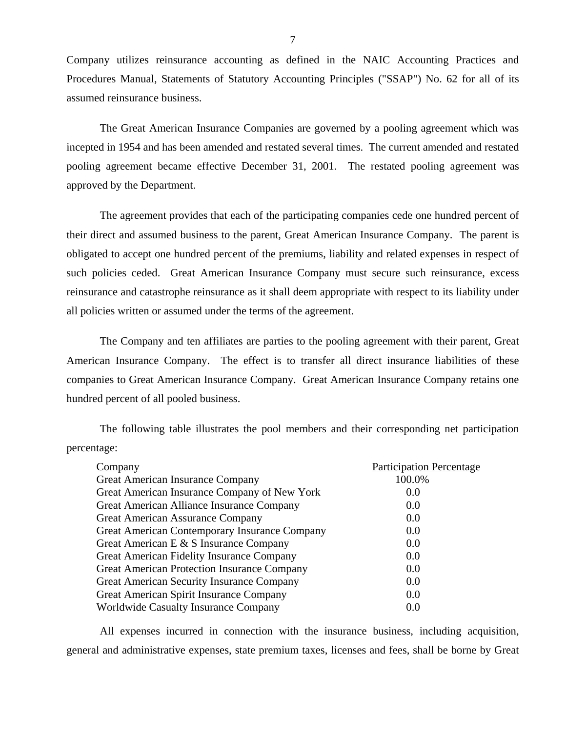Company utilizes reinsurance accounting as defined in the NAIC Accounting Practices and Procedures Manual, Statements of Statutory Accounting Principles ("SSAP") No. 62 for all of its assumed reinsurance business.

The Great American Insurance Companies are governed by a pooling agreement which was incepted in 1954 and has been amended and restated several times. The current amended and restated pooling agreement became effective December 31, 2001. The restated pooling agreement was approved by the Department.

The agreement provides that each of the participating companies cede one hundred percent of their direct and assumed business to the parent, Great American Insurance Company. The parent is obligated to accept one hundred percent of the premiums, liability and related expenses in respect of such policies ceded. Great American Insurance Company must secure such reinsurance, excess reinsurance and catastrophe reinsurance as it shall deem appropriate with respect to its liability under all policies written or assumed under the terms of the agreement.

The Company and ten affiliates are parties to the pooling agreement with their parent, Great American Insurance Company. The effect is to transfer all direct insurance liabilities of these companies to Great American Insurance Company. Great American Insurance Company retains one hundred percent of all pooled business.

The following table illustrates the pool members and their corresponding net participation percentage:

| Company                                            | <b>Participation Percentage</b> |
|----------------------------------------------------|---------------------------------|
| <b>Great American Insurance Company</b>            | 100.0%                          |
| Great American Insurance Company of New York       | 0.0                             |
| Great American Alliance Insurance Company          | 0.0                             |
| <b>Great American Assurance Company</b>            | 0.0                             |
| Great American Contemporary Insurance Company      | 0.0                             |
| Great American E & S Insurance Company             | 0.0                             |
| Great American Fidelity Insurance Company          | 0.0                             |
| <b>Great American Protection Insurance Company</b> | 0.0                             |
| Great American Security Insurance Company          | 0.0                             |
| Great American Spirit Insurance Company            | 0.0                             |
| Worldwide Casualty Insurance Company               | 0.0                             |

All expenses incurred in connection with the insurance business, including acquisition, general and administrative expenses, state premium taxes, licenses and fees, shall be borne by Great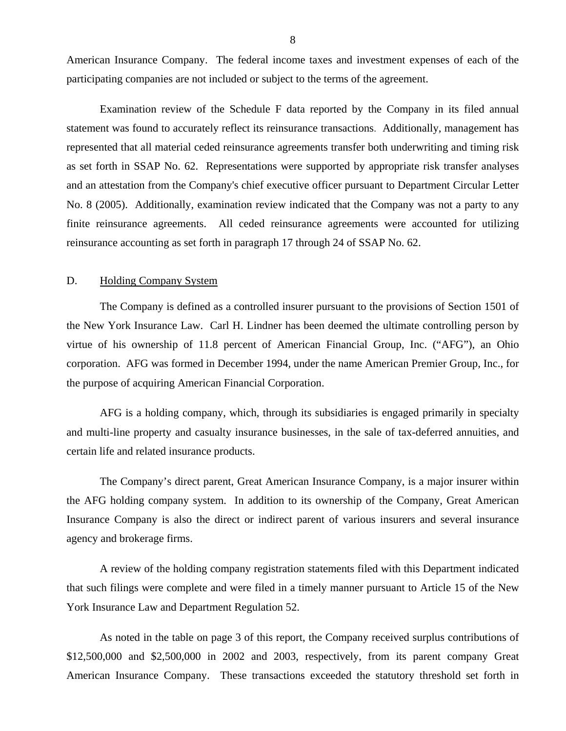<span id="page-9-0"></span>American Insurance Company. The federal income taxes and investment expenses of each of the participating companies are not included or subject to the terms of the agreement.

Examination review of the Schedule F data reported by the Company in its filed annual statement was found to accurately reflect its reinsurance transactions. Additionally, management has represented that all material ceded reinsurance agreements transfer both underwriting and timing risk as set forth in SSAP No. 62. Representations were supported by appropriate risk transfer analyses and an attestation from the Company's chief executive officer pursuant to Department Circular Letter No. 8 (2005). Additionally, examination review indicated that the Company was not a party to any finite reinsurance agreements. All ceded reinsurance agreements were accounted for utilizing reinsurance accounting as set forth in paragraph 17 through 24 of SSAP No. 62.

### D. Holding Company System

The Company is defined as a controlled insurer pursuant to the provisions of Section 1501 of the New York Insurance Law. Carl H. Lindner has been deemed the ultimate controlling person by virtue of his ownership of 11.8 percent of American Financial Group, Inc. ("AFG"), an Ohio corporation. AFG was formed in December 1994, under the name American Premier Group, Inc., for the purpose of acquiring American Financial Corporation.

AFG is a holding company, which, through its subsidiaries is engaged primarily in specialty and multi-line property and casualty insurance businesses, in the sale of tax-deferred annuities, and certain life and related insurance products.

The Company's direct parent, Great American Insurance Company, is a major insurer within the AFG holding company system. In addition to its ownership of the Company, Great American Insurance Company is also the direct or indirect parent of various insurers and several insurance agency and brokerage firms.

A review of the holding company registration statements filed with this Department indicated that such filings were complete and were filed in a timely manner pursuant to Article 15 of the New York Insurance Law and Department Regulation 52.

As noted in the table on page 3 of this report, the Company received surplus contributions of \$12,500,000 and \$2,500,000 in 2002 and 2003, respectively, from its parent company Great American Insurance Company. These transactions exceeded the statutory threshold set forth in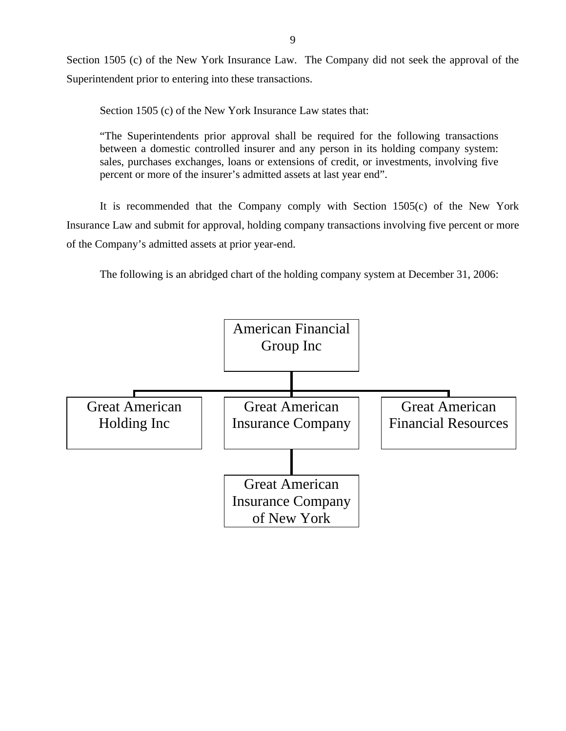Section 1505 (c) of the New York Insurance Law. The Company did not seek the approval of the Superintendent prior to entering into these transactions.

Section 1505 (c) of the New York Insurance Law states that:

"The Superintendents prior approval shall be required for the following transactions between a domestic controlled insurer and any person in its holding company system: sales, purchases exchanges, loans or extensions of credit, or investments, involving five percent or more of the insurer's admitted assets at last year end".

It is recommended that the Company comply with Section 1505(c) of the New York Insurance Law and submit for approval, holding company transactions involving five percent or more of the Company's admitted assets at prior year-end.

The following is an abridged chart of the holding company system at December 31, 2006:

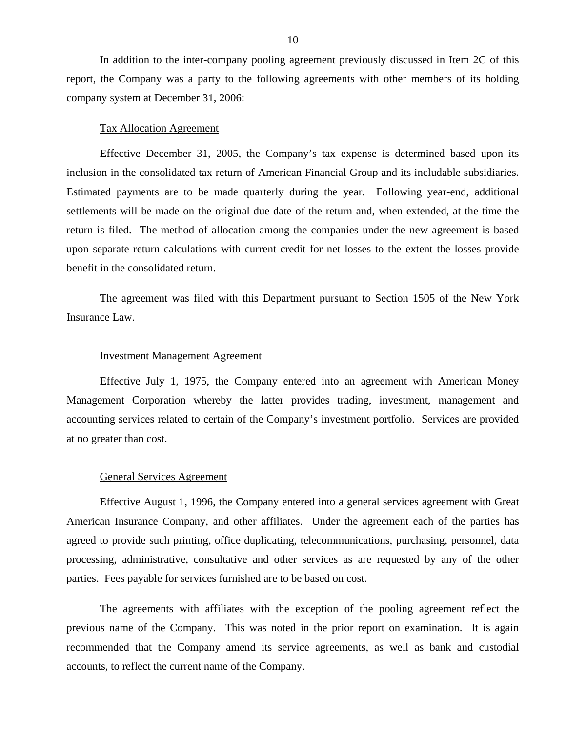In addition to the inter-company pooling agreement previously discussed in Item 2C of this report, the Company was a party to the following agreements with other members of its holding company system at December 31, 2006:

## Tax Allocation Agreement

Effective December 31, 2005, the Company's tax expense is determined based upon its inclusion in the consolidated tax return of American Financial Group and its includable subsidiaries. Estimated payments are to be made quarterly during the year. Following year-end, additional settlements will be made on the original due date of the return and, when extended, at the time the return is filed. The method of allocation among the companies under the new agreement is based upon separate return calculations with current credit for net losses to the extent the losses provide benefit in the consolidated return.

The agreement was filed with this Department pursuant to Section 1505 of the New York Insurance Law.

### Investment Management Agreement

Effective July 1, 1975, the Company entered into an agreement with American Money Management Corporation whereby the latter provides trading, investment, management and accounting services related to certain of the Company's investment portfolio. Services are provided at no greater than cost.

### General Services Agreement

Effective August 1, 1996, the Company entered into a general services agreement with Great American Insurance Company, and other affiliates. Under the agreement each of the parties has agreed to provide such printing, office duplicating, telecommunications, purchasing, personnel, data processing, administrative, consultative and other services as are requested by any of the other parties. Fees payable for services furnished are to be based on cost.

The agreements with affiliates with the exception of the pooling agreement reflect the previous name of the Company. This was noted in the prior report on examination. It is again recommended that the Company amend its service agreements, as well as bank and custodial accounts, to reflect the current name of the Company.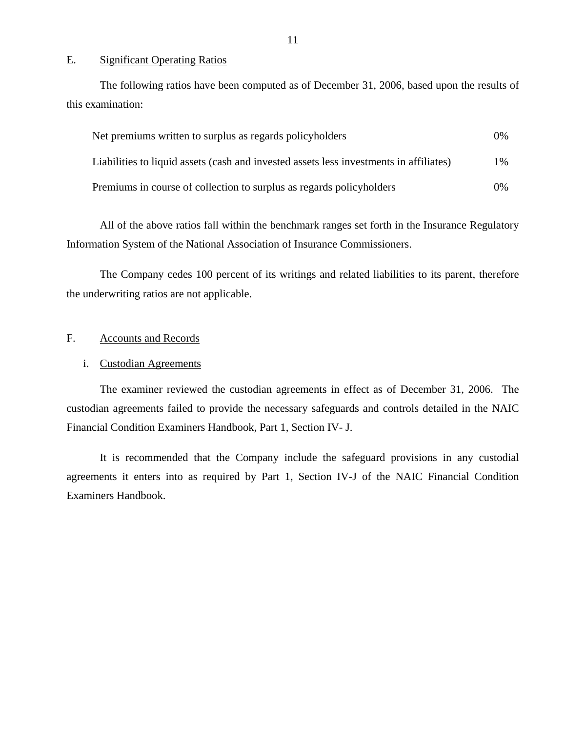### E. Significant Operating Ratios

The following ratios have been computed as of December 31, 2006, based upon the results of this examination:

| Net premiums written to surplus as regards policyholders                               | $0\%$ |
|----------------------------------------------------------------------------------------|-------|
| Liabilities to liquid assets (cash and invested assets less investments in affiliates) | $1\%$ |
| Premiums in course of collection to surplus as regards policyholders                   | $0\%$ |

All of the above ratios fall within the benchmark ranges set forth in the Insurance Regulatory Information System of the National Association of Insurance Commissioners.

The Company cedes 100 percent of its writings and related liabilities to its parent, therefore the underwriting ratios are not applicable.

## F. Accounts and Records

### i. Custodian Agreements

The examiner reviewed the custodian agreements in effect as of December 31, 2006. The custodian agreements failed to provide the necessary safeguards and controls detailed in the NAIC Financial Condition Examiners Handbook, Part 1, Section IV- J.

It is recommended that the Company include the safeguard provisions in any custodial agreements it enters into as required by Part 1, Section IV-J of the NAIC Financial Condition Examiners Handbook.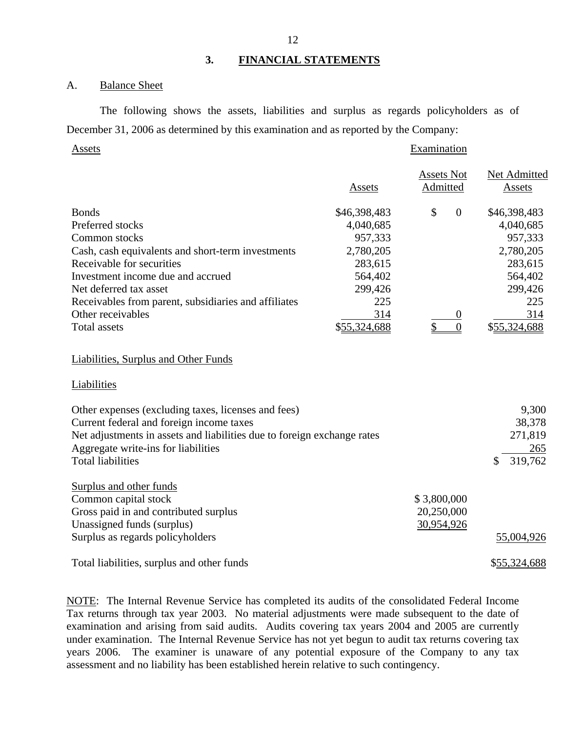### <span id="page-13-0"></span>A. Balance Sheet

The following shows the assets, liabilities and surplus as regards policyholders as of December 31, 2006 as determined by this examination and as reported by the Company:

### Assets Examination

|                                                                         |              | <b>Assets Not</b>    | Net Admitted  |
|-------------------------------------------------------------------------|--------------|----------------------|---------------|
|                                                                         | Assets       | Admitted             | <b>Assets</b> |
| <b>Bonds</b>                                                            | \$46,398,483 | \$<br>$\overline{0}$ | \$46,398,483  |
| Preferred stocks                                                        | 4,040,685    |                      | 4,040,685     |
| Common stocks                                                           | 957,333      |                      | 957,333       |
| Cash, cash equivalents and short-term investments                       | 2,780,205    |                      | 2,780,205     |
| Receivable for securities                                               | 283,615      |                      | 283,615       |
| Investment income due and accrued                                       | 564,402      |                      | 564,402       |
| Net deferred tax asset                                                  | 299,426      |                      | 299,426       |
| Receivables from parent, subsidiaries and affiliates                    | 225          |                      | 225           |
| Other receivables                                                       | 314          | $\boldsymbol{0}$     | 314           |
| <b>Total assets</b>                                                     | \$55,324,688 | $\overline{0}$       | \$55,324,688  |
| <b>Liabilities, Surplus and Other Funds</b>                             |              |                      |               |
| Liabilities                                                             |              |                      |               |
| Other expenses (excluding taxes, licenses and fees)                     |              |                      | 9,300         |
| Current federal and foreign income taxes                                |              |                      | 38,378        |
| Net adjustments in assets and liabilities due to foreign exchange rates |              |                      | 271,819       |
| Aggregate write-ins for liabilities                                     |              |                      | 265           |
| <b>Total liabilities</b>                                                |              |                      | 319,762<br>\$ |
| <b>Surplus and other funds</b>                                          |              |                      |               |
| Common capital stock                                                    |              | \$3,800,000          |               |
| Gross paid in and contributed surplus                                   |              | 20,250,000           |               |
| Unassigned funds (surplus)                                              |              | 30,954,926           |               |
| Surplus as regards policyholders                                        |              |                      | 55,004,926    |

Total liabilities, surplus and other funds  $$55,324,688$ 

NOTE: The Internal Revenue Service has completed its audits of the consolidated Federal Income Tax returns through tax year 2003. No material adjustments were made subsequent to the date of examination and arising from said audits. Audits covering tax years 2004 and 2005 are currently under examination. The Internal Revenue Service has not yet begun to audit tax returns covering tax years 2006. The examiner is unaware of any potential exposure of the Company to any tax assessment and no liability has been established herein relative to such contingency.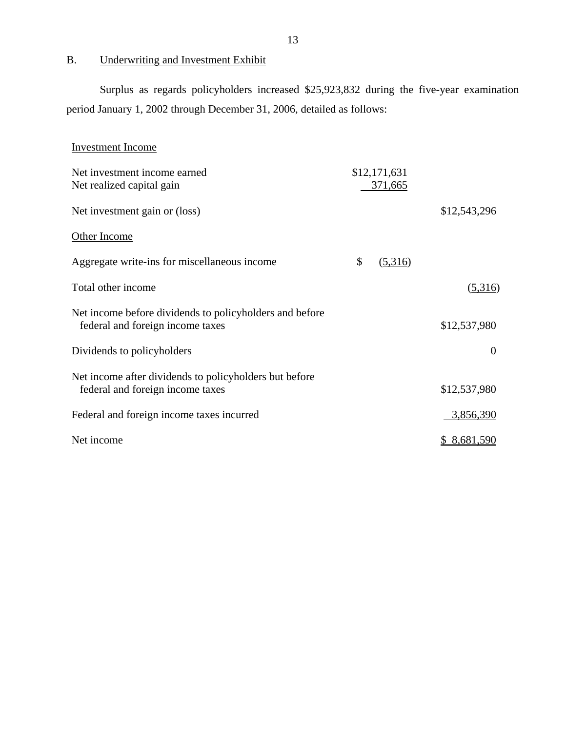## B. Underwriting and Investment Exhibit

Surplus as regards policyholders increased \$25,923,832 during the five-year examination period January 1, 2002 through December 31, 2006, detailed as follows:

| <b>Investment Income</b>                                                                    |                         |              |
|---------------------------------------------------------------------------------------------|-------------------------|--------------|
| Net investment income earned<br>Net realized capital gain                                   | \$12,171,631<br>371,665 |              |
| Net investment gain or (loss)                                                               |                         | \$12,543,296 |
| Other Income                                                                                |                         |              |
| Aggregate write-ins for miscellaneous income                                                | \$<br>(5,316)           |              |
| Total other income                                                                          |                         | (5,316)      |
| Net income before dividends to policyholders and before<br>federal and foreign income taxes |                         | \$12,537,980 |
| Dividends to policyholders                                                                  |                         | $\Omega$     |
| Net income after dividends to policyholders but before<br>federal and foreign income taxes  |                         | \$12,537,980 |
| Federal and foreign income taxes incurred                                                   |                         | 3,856,390    |
| Net income                                                                                  |                         | \$8,681,590  |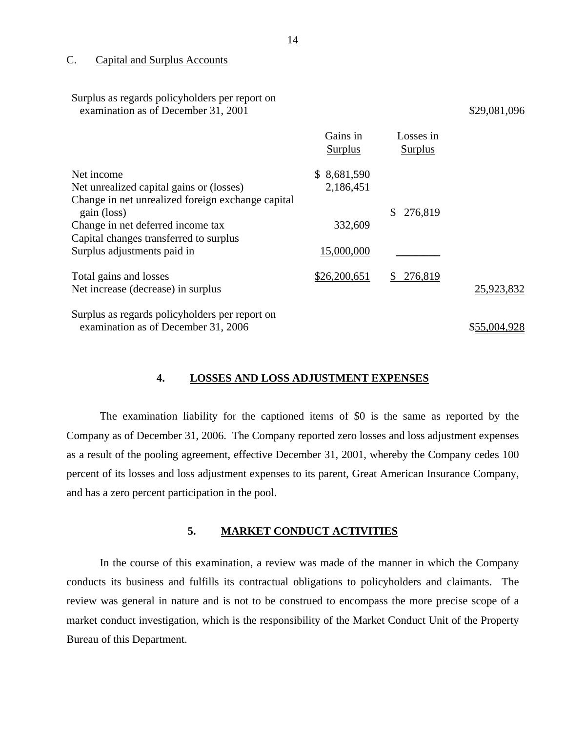### C. Capital and Surplus Accounts

Surplus as regards policyholders per report on

| Surplus as regards policyholders per report on<br>examination as of December 31, 2001 |                            |                             | \$29,081,096 |
|---------------------------------------------------------------------------------------|----------------------------|-----------------------------|--------------|
|                                                                                       | Gains in<br><b>Surplus</b> | Losses in<br><b>Surplus</b> |              |
| Net income                                                                            | \$8,681,590                |                             |              |
| Net unrealized capital gains or (losses)                                              | 2,186,451                  |                             |              |
| Change in net unrealized foreign exchange capital<br>gain (loss)                      |                            | 276,819<br>\$               |              |
| Change in net deferred income tax                                                     | 332,609                    |                             |              |
| Capital changes transferred to surplus                                                |                            |                             |              |
| Surplus adjustments paid in                                                           | 15,000,000                 |                             |              |
| Total gains and losses                                                                | \$26,200,651               | 276,819<br>\$               |              |
| Net increase (decrease) in surplus                                                    |                            |                             | 25,923,832   |
| Surplus as regards policyholders per report on                                        |                            |                             |              |
| examination as of December 31, 2006                                                   |                            |                             | \$55,004,928 |

### **4. LOSSES AND LOSS ADJUSTMENT EXPENSES**

The examination liability for the captioned items of \$0 is the same as reported by the Company as of December 31, 2006. The Company reported zero losses and loss adjustment expenses as a result of the pooling agreement, effective December 31, 2001, whereby the Company cedes 100 percent of its losses and loss adjustment expenses to its parent, Great American Insurance Company, and has a zero percent participation in the pool.

## **5. MARKET CONDUCT ACTIVITIES**

In the course of this examination, a review was made of the manner in which the Company conducts its business and fulfills its contractual obligations to policyholders and claimants. The review was general in nature and is not to be construed to encompass the more precise scope of a market conduct investigation, which is the responsibility of the Market Conduct Unit of the Property Bureau of this Department.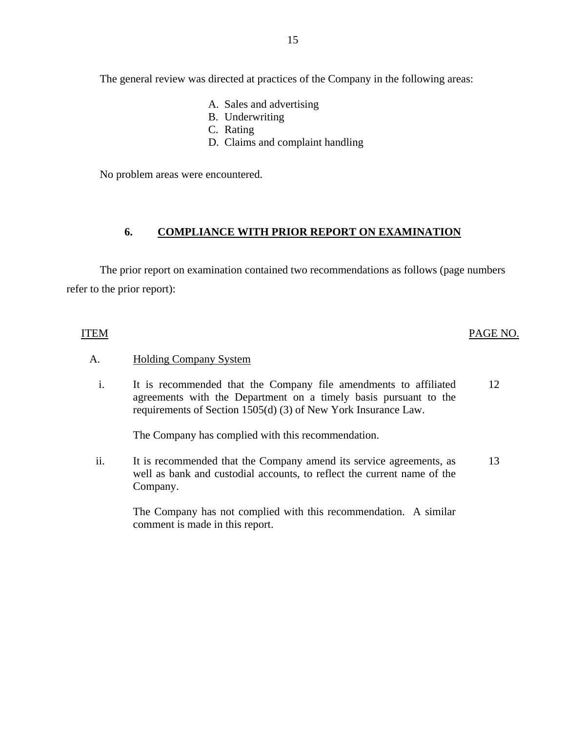The general review was directed at practices of the Company in the following areas:

- A. Sales and advertising
- B. Underwriting
- C. Rating
- D. Claims and complaint handling

No problem areas were encountered.

## **6. COMPLIANCE WITH PRIOR REPORT ON EXAMINATION**

The prior report on examination contained two recommendations as follows (page numbers refer to the prior report):

## ITEM PAGE NO.

## A. Holding Company System

i. It is recommended that the Company file amendments to affiliated agreements with the Department on a timely basis pursuant to the requirements of Section 1505(d) (3) of New York Insurance Law. 12

The Company has complied with this recommendation.

ii. It is recommended that the Company amend its service agreements, as well as bank and custodial accounts, to reflect the current name of the Company. 13

The Company has not complied with this recommendation. A similar comment is made in this report.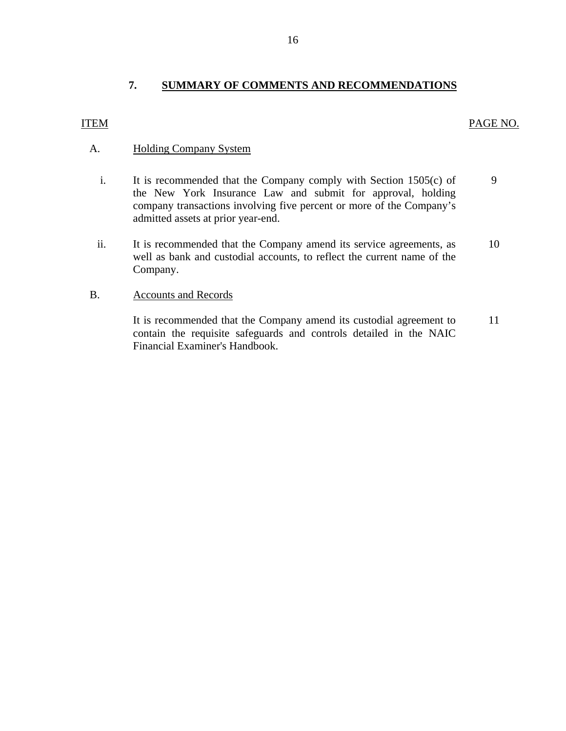## **7. SUMMARY OF COMMENTS AND RECOMMENDATIONS**

<span id="page-17-0"></span>ITEM PAGE NO.

## A. Holding Company System

- i. It is recommended that the Company comply with Section 1505(c) of the New York Insurance Law and submit for approval, holding company transactions involving five percent or more of the Company's admitted assets at prior year-end. 9
- ii. It is recommended that the Company amend its service agreements, as 10 well as bank and custodial accounts, to reflect the current name of the Company.

## B. Accounts and Records

It is recommended that the Company amend its custodial agreement to 11 contain the requisite safeguards and controls detailed in the NAIC Financial Examiner's Handbook.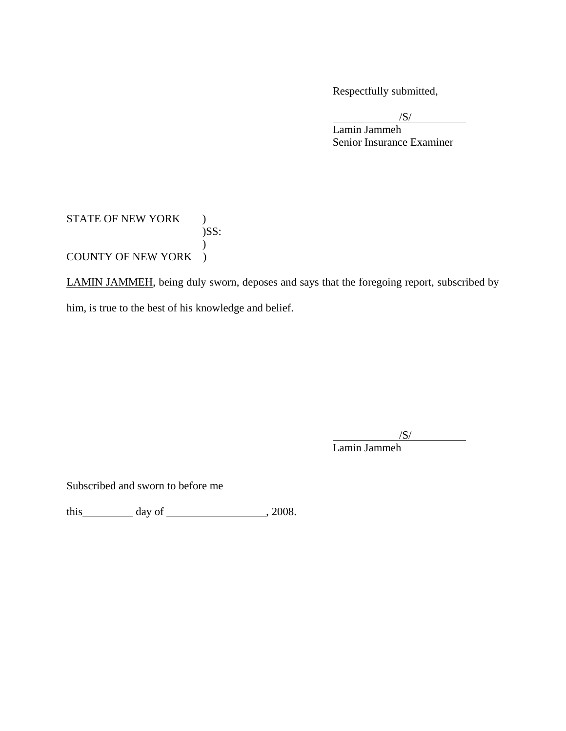Respectfully submitted,

 $\sqrt{S}$ 

 Lamin Jammeh Senior Insurance Examiner

## STATE OF NEW YORK ) )SS:  $\mathcal{L}$ COUNTY OF NEW YORK )

LAMIN JAMMEH, being duly sworn, deposes and says that the foregoing report, subscribed by him, is true to the best of his knowledge and belief.

 /S/ Lamin Jammeh

Subscribed and sworn to before me

this  $\qquad \qquad$  day of  $\qquad \qquad$  , 2008.